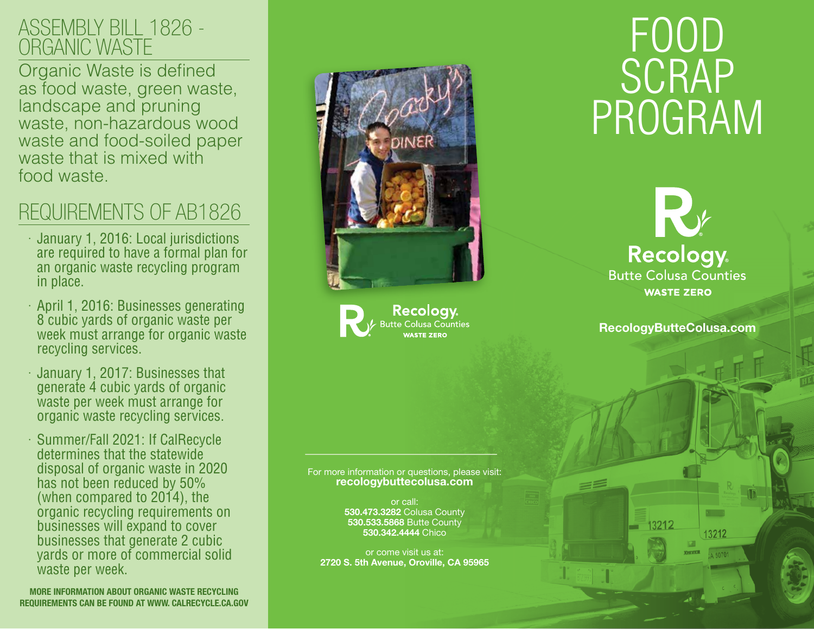### ASSEMBLY BILL 1826 - ORGANIC WASTE

Organic Waste is defined as food waste, green waste, landscape and pruning waste, non-hazardous wood waste and food-soiled paper waste that is mixed with food waste.

## REQUIREMENTS OF AB1826

- · January 1, 2016: Local jurisdictions are required to have a formal plan for an organic waste recycling program in place.
- · April 1, 2016: Businesses generating 8 cubic yards of organic waste per week must arrange for organic waste recycling services.
- · January 1, 2017: Businesses that generate 4 cubic yards of organic waste per week must arrange for organic waste recycling services.
- · Summer/Fall 2021: If CalRecycle determines that the statewide disposal of organic waste in 2020 has not been reduced by 50% (when compared to 2014), the organic recycling requirements on businesses will expand to cover businesses that generate 2 cubic yards or more of commercial solid waste per week.

MORE INFORMATION ABOUT ORGANIC WASTE RECYCLING REQUIREMENTS CAN BE FOUND AT WWW. CALRECYCLE.CA.GOV



Recology **Butte Colusa Counties** WASTE ZERO

FOOD **SCRAP** PROGRAM

> K **Recology Butte Colusa Counties WASTE ZERO**

RecologyButteColusa.com

13212

13212

 $15070'$ 

For more information or questions, please visit: recologybuttecolusa.com

> or call: 530.473.3282 Colusa County 530.533.5868 Butte County 530.342.4444 Chico

or come visit us at: 2720 S. 5th Avenue, Oroville, CA 95965